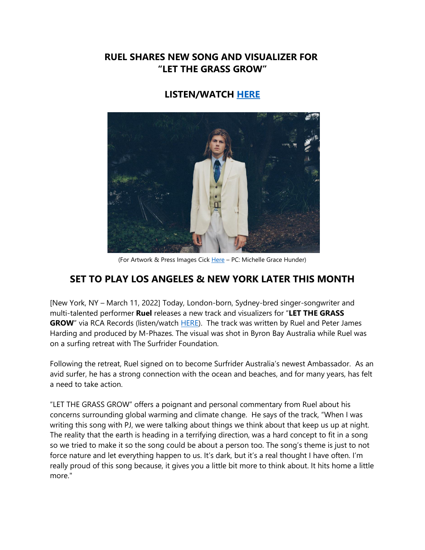### **RUEL SHARES NEW SONG AND VISUALIZER FOR "LET THE GRASS GROW"**

# **LISTEN/WATCH [HERE](https://eur01.safelinks.protection.outlook.com/?url=https%3A%2F%2Fruel.lnk.to%2FLTGG%2Fyoutube&data=04%7C01%7Cnoelle.janasiewicz.sme%40sonymusic.com%7C4f924fe1cc4642f067f708da05cd5e40%7Cf0aff3b791a54aaeaf71c63e1dda2049%7C0%7C0%7C637828676843412643%7CUnknown%7CTWFpbGZsb3d8eyJWIjoiMC4wLjAwMDAiLCJQIjoiV2luMzIiLCJBTiI6Ik1haWwiLCJXVCI6Mn0%3D%7C3000&sdata=hxAq7ui80kQTjKSCM48LtcuMFcXrmRAN68BN2kcwG4c%3D&reserved=0)**



(For Artwork & Press Images Cick [Here](https://eur01.safelinks.protection.outlook.com/?url=https%3A%2F%2Fapp.box.com%2Fs%2Fqo38v801dmsgkdp4j22dnlppz4ql7ovu&data=04%7C01%7Cnoelle.janasiewicz.sme%40sonymusic.com%7C4f924fe1cc4642f067f708da05cd5e40%7Cf0aff3b791a54aaeaf71c63e1dda2049%7C0%7C0%7C637828676843412643%7CUnknown%7CTWFpbGZsb3d8eyJWIjoiMC4wLjAwMDAiLCJQIjoiV2luMzIiLCJBTiI6Ik1haWwiLCJXVCI6Mn0%3D%7C3000&sdata=Wyn%2BAQwWIimawi6%2BY5hAs70jsqArQqK71CoT6dkyago%3D&reserved=0) - PC: Michelle Grace Hunder)

# **SET TO PLAY LOS ANGELES & NEW YORK LATER THIS MONTH**

[New York, NY – March 11, 2022] Today, London-born, Sydney-bred singer-songwriter and multi-talented performer **Ruel** releases a new track and visualizers for "**LET THE GRASS GROW**" via RCA Records (listen/watch [HERE\)](https://eur01.safelinks.protection.outlook.com/?url=https%3A%2F%2Fruel.lnk.to%2FLTGG%2Fyoutube&data=04%7C01%7Cnoelle.janasiewicz.sme%40sonymusic.com%7C4f924fe1cc4642f067f708da05cd5e40%7Cf0aff3b791a54aaeaf71c63e1dda2049%7C0%7C0%7C637828676843412643%7CUnknown%7CTWFpbGZsb3d8eyJWIjoiMC4wLjAwMDAiLCJQIjoiV2luMzIiLCJBTiI6Ik1haWwiLCJXVCI6Mn0%3D%7C3000&sdata=hxAq7ui80kQTjKSCM48LtcuMFcXrmRAN68BN2kcwG4c%3D&reserved=0). The track was written by Ruel and Peter James Harding and produced by M-Phazes. The visual was shot in Byron Bay Australia while Ruel was on a surfing retreat with The Surfrider Foundation.

Following the retreat, Ruel signed on to become Surfrider Australia's newest Ambassador. As an avid surfer, he has a strong connection with the ocean and beaches, and for many years, has felt a need to take action.

"LET THE GRASS GROW" offers a poignant and personal commentary from Ruel about his concerns surrounding global warming and climate change. He says of the track, "When I was writing this song with PJ, we were talking about things we think about that keep us up at night. The reality that the earth is heading in a terrifying direction, was a hard concept to fit in a song so we tried to make it so the song could be about a person too. The song's theme is just to not force nature and let everything happen to us. It's dark, but it's a real thought I have often. I'm really proud of this song because, it gives you a little bit more to think about. It hits home a little more."